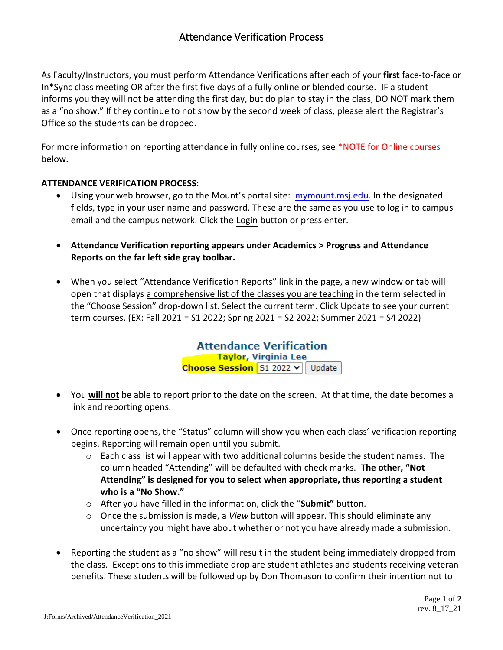## Attendance Verification Process

As Faculty/Instructors, you must perform Attendance Verifications after each of your **first** face-to-face or In\*Sync class meeting OR after the first five days of a fully online or blended course. IF a student informs you they will not be attending the first day, but do plan to stay in the class, DO NOT mark them as a "no show." If they continue to not show by the second week of class, please alert the Registrar's Office so the students can be dropped.

For more information on reporting attendance in fully online courses, see \*NOTE for Online courses below.

## **ATTENDANCE VERIFICATION PROCESS**:

- Using your web browser, go to the Mount's portal site: [mymount.msj.edu.](http://mymount.msj.edu/) In the designated fields, type in your user name and password. These are the same as you use to log in to campus email and the campus network. Click the Login button or press enter.
- **Attendance Verification reporting appears under Academics > Progress and Attendance Reports on the far left side gray toolbar.**
- When you select "Attendance Verification Reports" link in the page, a new window or tab will open that displays a comprehensive list of the classes you are teaching in the term selected in the "Choose Session" drop-down list. Select the current term. Click Update to see your current term courses. (EX: Fall 2021 = S1 2022; Spring 2021 = S2 2022; Summer 2021 = S4 2022)

**Attendance Verification** Taylor, Virginia Lee Choose Session S1 2022 v Update

- You **will not** be able to report prior to the date on the screen. At that time, the date becomes a link and reporting opens.
- Once reporting opens, the "Status" column will show you when each class' verification reporting begins. Reporting will remain open until you submit.
	- o Each class list will appear with two additional columns beside the student names. The column headed "Attending" will be defaulted with check marks. **The other, "Not Attending" is designed for you to select when appropriate, thus reporting a student who is a "No Show."**
	- o After you have filled in the information, click the "**Submit"** button.
	- o Once the submission is made, a *View* button will appear. This should eliminate any uncertainty you might have about whether or not you have already made a submission.
- Reporting the student as a "no show" will result in the student being immediately dropped from the class. Exceptions to this immediate drop are student athletes and students receiving veteran benefits. These students will be followed up by Don Thomason to confirm their intention not to